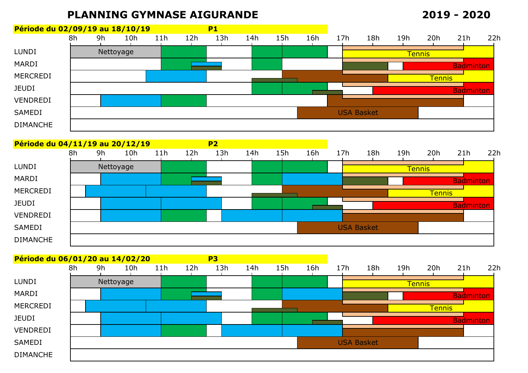## **PLANNING GYMNASE AIGURANDE**

## **2019 - 2020**